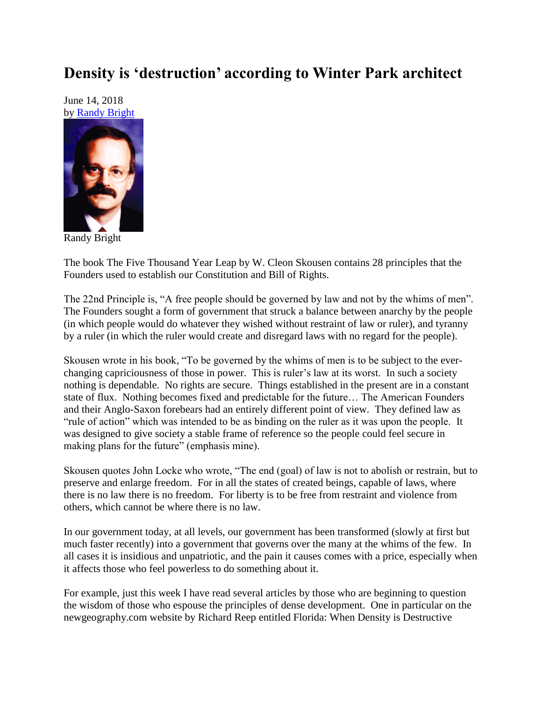## **Density is 'destruction' according to Winter Park architect**

June 14, 2018 by [Randy Bright](http://tulsabeacon.com/writers/randy-bright/)



Randy Bright

The book The Five Thousand Year Leap by W. Cleon Skousen contains 28 principles that the Founders used to establish our Constitution and Bill of Rights.

The 22nd Principle is, "A free people should be governed by law and not by the whims of men". The Founders sought a form of government that struck a balance between anarchy by the people (in which people would do whatever they wished without restraint of law or ruler), and tyranny by a ruler (in which the ruler would create and disregard laws with no regard for the people).

Skousen wrote in his book, "To be governed by the whims of men is to be subject to the everchanging capriciousness of those in power. This is ruler's law at its worst. In such a society nothing is dependable. No rights are secure. Things established in the present are in a constant state of flux. Nothing becomes fixed and predictable for the future… The American Founders and their Anglo-Saxon forebears had an entirely different point of view. They defined law as "rule of action" which was intended to be as binding on the ruler as it was upon the people. It was designed to give society a stable frame of reference so the people could feel secure in making plans for the future" (emphasis mine).

Skousen quotes John Locke who wrote, "The end (goal) of law is not to abolish or restrain, but to preserve and enlarge freedom. For in all the states of created beings, capable of laws, where there is no law there is no freedom. For liberty is to be free from restraint and violence from others, which cannot be where there is no law.

In our government today, at all levels, our government has been transformed (slowly at first but much faster recently) into a government that governs over the many at the whims of the few. In all cases it is insidious and unpatriotic, and the pain it causes comes with a price, especially when it affects those who feel powerless to do something about it.

For example, just this week I have read several articles by those who are beginning to question the wisdom of those who espouse the principles of dense development. One in particular on the newgeography.com website by Richard Reep entitled Florida: When Density is Destructive